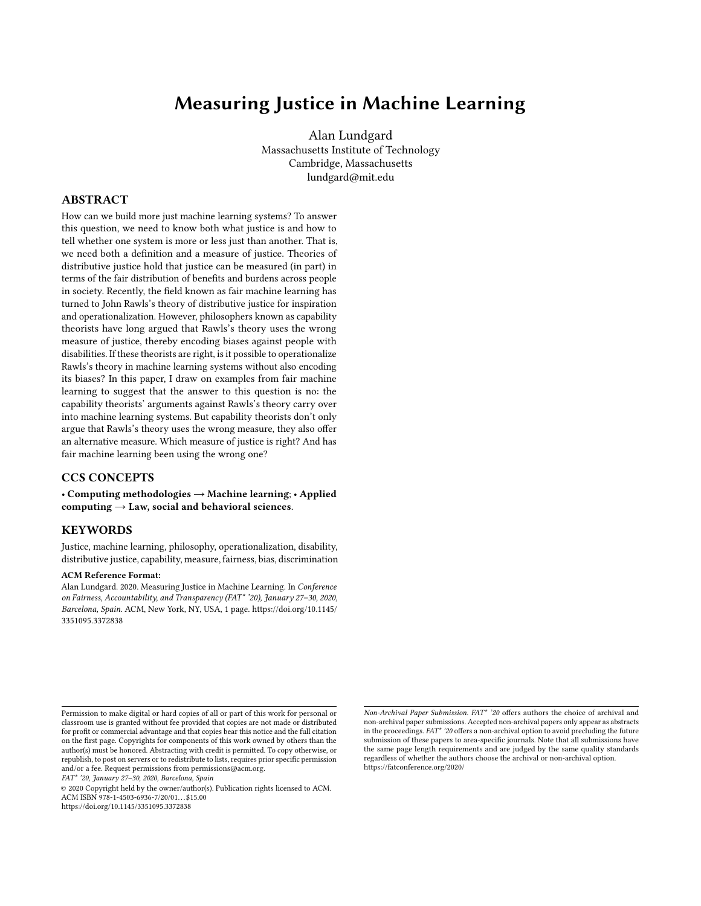### <span id="page-0-0"></span>Measuring Justice in Machine Learning

Alan Lundgard Massachusetts Institute of Technology Cambridge, Massachusetts lundgard@mit.edu

#### ABSTRACT

How can we build more just machine learning systems? To answer this question, we need to know both what justice is and how to tell whether one system is more or less just than another. That is, we need both a definition and a measure of justice. Theories of distributive justice hold that justice can be measured (in part) in terms of the fair distribution of benefits and burdens across people in society. Recently, the field known as fair machine learning has turned to John Rawls's theory of distributive justice for inspiration and operationalization. However, philosophers known as capability theorists have long argued that Rawls's theory uses the wrong measure of justice, thereby encoding biases against people with disabilities. If these theorists are right, is it possible to operationalize Rawls's theory in machine learning systems without also encoding its biases? In this paper, I draw on examples from fair machine learning to suggest that the answer to this question is no: the capability theorists' arguments against Rawls's theory carry over into machine learning systems. But capability theorists don't only argue that Rawls's theory uses the wrong measure, they also offer an alternative measure. Which measure of justice is right? And has fair machine learning been using the wrong one?

#### CCS CONCEPTS

• Computing methodologies → Machine learning; • Applied computing  $\rightarrow$  Law, social and behavioral sciences.

#### KEYWORDS

Justice, machine learning, philosophy, operationalization, disability, distributive justice, capability, measure, fairness, bias, discrimination

#### ACM Reference Format:

Alan Lundgard. 2020. Measuring Justice in Machine Learning. In Conference on Fairness, Accountability, and Transparency (FAT\* '20), January 27–30, 2020, Barcelona, Spain. ACM, New York, NY, USA, [1](#page-0-0) page. [https://doi.org/10.1145/](https://doi.org/10.1145/3351095.3372838) [3351095.3372838](https://doi.org/10.1145/3351095.3372838)

FAT\* '20, January 27–30, 2020, Barcelona, Spain

© 2020 Copyright held by the owner/author(s). Publication rights licensed to ACM. ACM ISBN 978-1-4503-6936-7/20/01...\$15.00 <https://doi.org/10.1145/3351095.3372838>

Permission to make digital or hard copies of all or part of this work for personal or classroom use is granted without fee provided that copies are not made or distributed for profit or commercial advantage and that copies bear this notice and the full citation on the first page. Copyrights for components of this work owned by others than the author(s) must be honored. Abstracting with credit is permitted. To copy otherwise, or republish, to post on servers or to redistribute to lists, requires prior specific permission and/or a fee. Request permissions from permissions@acm.org.

Non-Archival Paper Submission. FAT\* '20 offers authors the choice of archival and non-archival paper submissions. Accepted non-archival papers only appear as abstracts in the proceedings. FAT\* '20 offers a non-archival option to avoid precluding the future submission of these papers to area-specific journals. Note that all submissions have the same page length requirements and are judged by the same quality standards regardless of whether the authors choose the archival or non-archival option. https://fatconference.org/2020/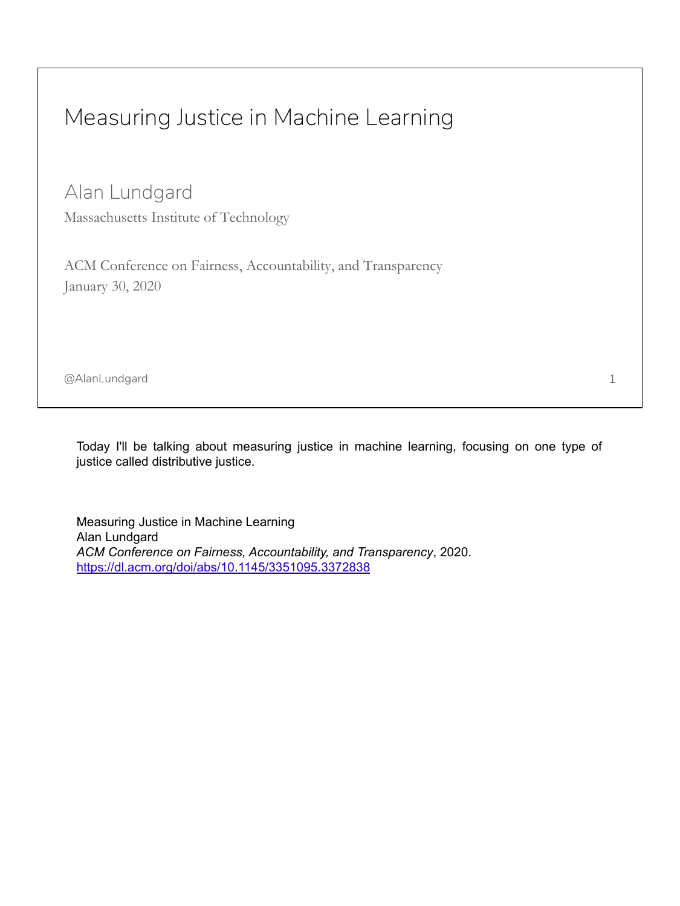## Measuring Justice in Machine Learning

Alan Lundgard

Massachusetts Institute of Technology

ACM Conference on Fairness, Accountability, and Transparency January 30, 2020

@AlanLundgard

Today I'll be talking about measuring justice in machine learning, focusing on one type of justice called distributive justice.

Measuring Justice in Machine Learning Alan Lundgard *ACM Conference on Fairness, Accountability, and Transparency*, 2020. <https://dl.acm.org/doi/abs/10.1145/3351095.3372838>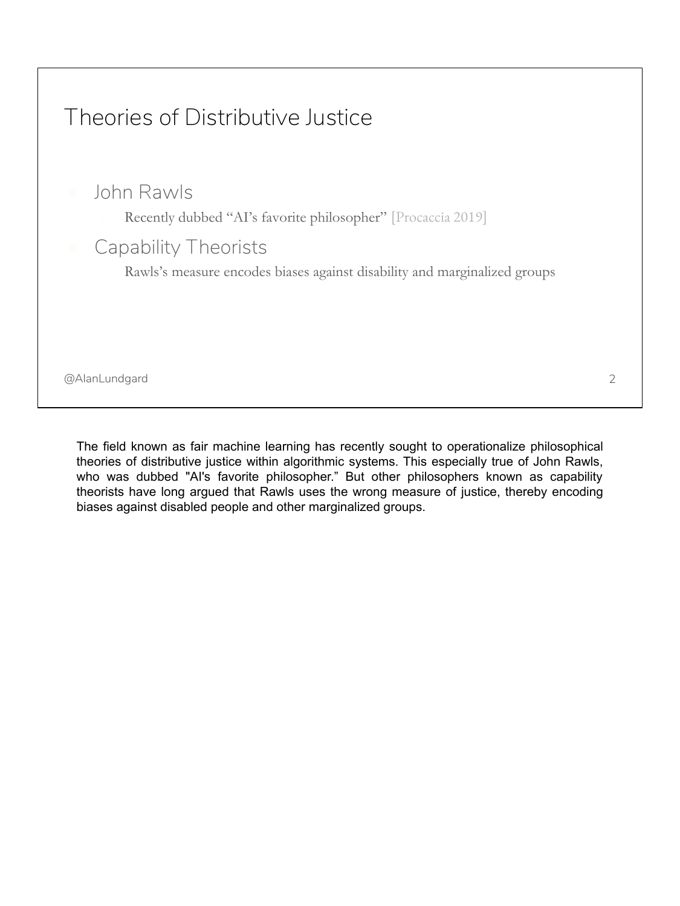# @AlanLundgard Theories of Distributive Justice ● John Rawls Recently dubbed "AI's favorite philosopher" [Procaccia 2019] Capability Theorists Rawls's measure encodes biases against disability and marginalized groups 2

The field known as fair machine learning has recently sought to operationalize philosophical theories of distributive justice within algorithmic systems. This especially true of John Rawls, who was dubbed "AI's favorite philosopher." But other philosophers known as capability theorists have long argued that Rawls uses the wrong measure of justice, thereby encoding biases against disabled people and other marginalized groups.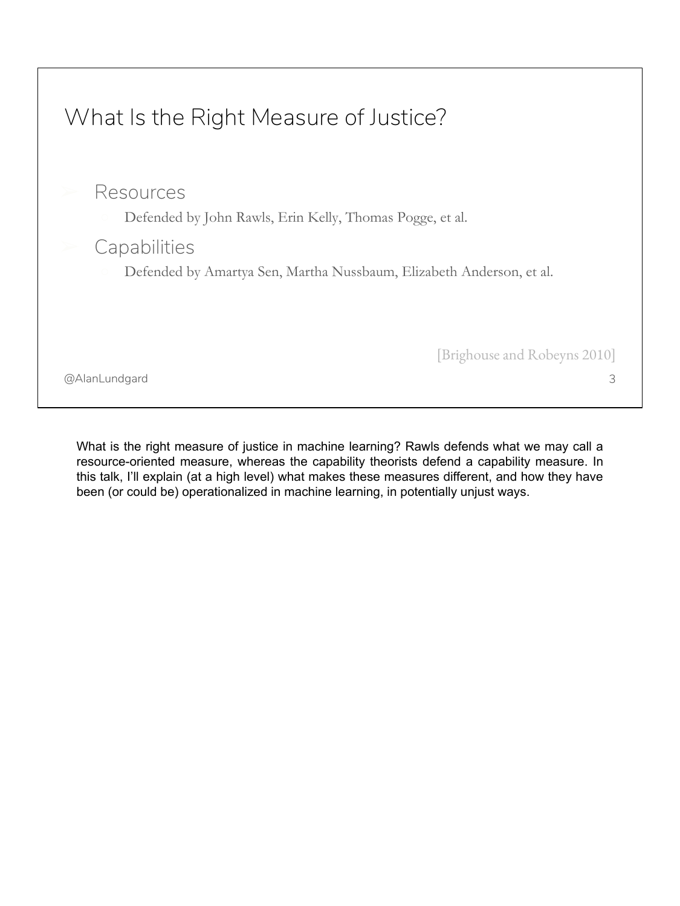

What is the right measure of justice in machine learning? Rawls defends what we may call a resource-oriented measure, whereas the capability theorists defend a capability measure. In this talk, I'll explain (at a high level) what makes these measures different, and how they have been (or could be) operationalized in machine learning, in potentially unjust ways.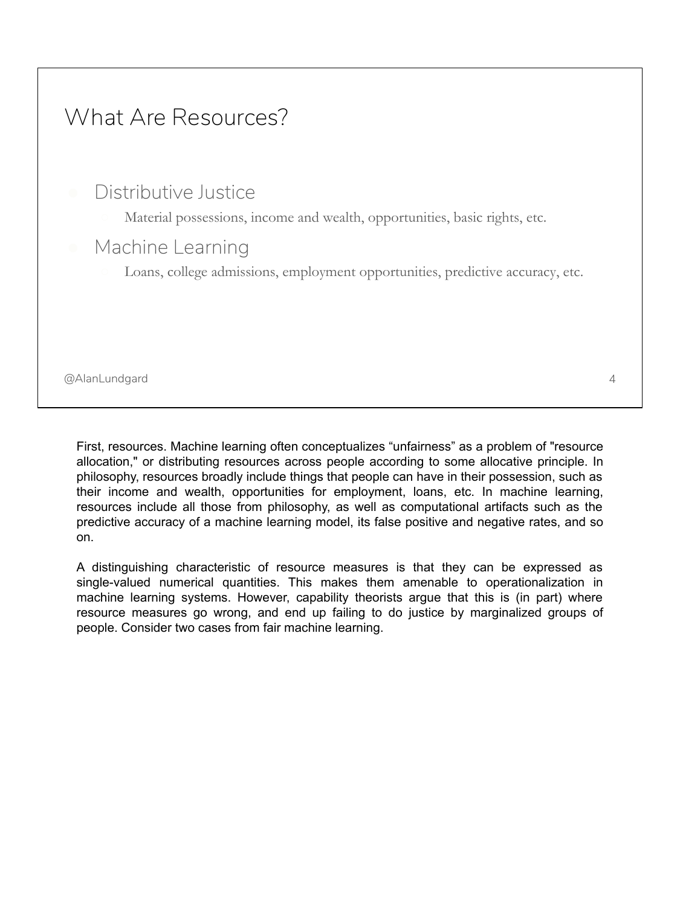

First, resources. Machine learning often conceptualizes "unfairness" as a problem of "resource allocation," or distributing resources across people according to some allocative principle. In philosophy, resources broadly include things that people can have in their possession, such as their income and wealth, opportunities for employment, loans, etc. In machine learning, resources include all those from philosophy, as well as computational artifacts such as the predictive accuracy of a machine learning model, its false positive and negative rates, and so on.

A distinguishing characteristic of resource measures is that they can be expressed as single-valued numerical quantities. This makes them amenable to operationalization in machine learning systems. However, capability theorists argue that this is (in part) where resource measures go wrong, and end up failing to do justice by marginalized groups of people. Consider two cases from fair machine learning.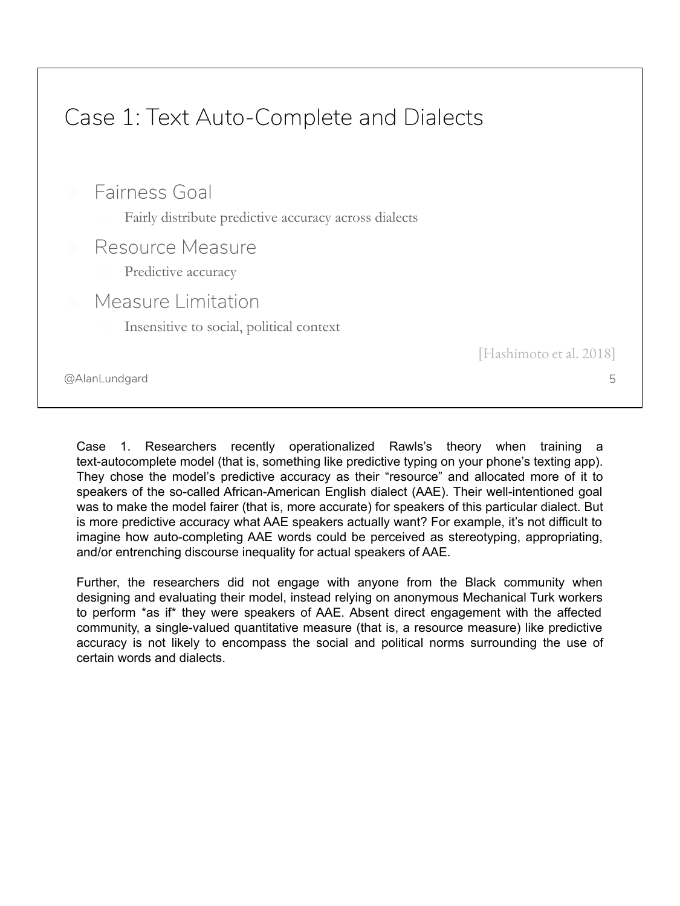# Case 1: Text Auto-Complete and Dialects

● Fairness Goal

- Fairly distribute predictive accuracy across dialects
- Resource Measure
	- Predictive accuracy
	- Measure Limitation
		- Insensitive to social, political context

[Hashimoto et al. 2018]

5

@AlanLundgard

Case 1. Researchers recently operationalized Rawls's theory when training a text-autocomplete model (that is, something like predictive typing on your phone's texting app). They chose the model's predictive accuracy as their "resource" and allocated more of it to speakers of the so-called African-American English dialect (AAE). Their well-intentioned goal was to make the model fairer (that is, more accurate) for speakers of this particular dialect. But is more predictive accuracy what AAE speakers actually want? For example, it's not difficult to imagine how auto-completing AAE words could be perceived as stereotyping, appropriating, and/or entrenching discourse inequality for actual speakers of AAE.

Further, the researchers did not engage with anyone from the Black community when designing and evaluating their model, instead relying on anonymous Mechanical Turk workers to perform \*as if\* they were speakers of AAE. Absent direct engagement with the affected community, a single-valued quantitative measure (that is, a resource measure) like predictive accuracy is not likely to encompass the social and political norms surrounding the use of certain words and dialects.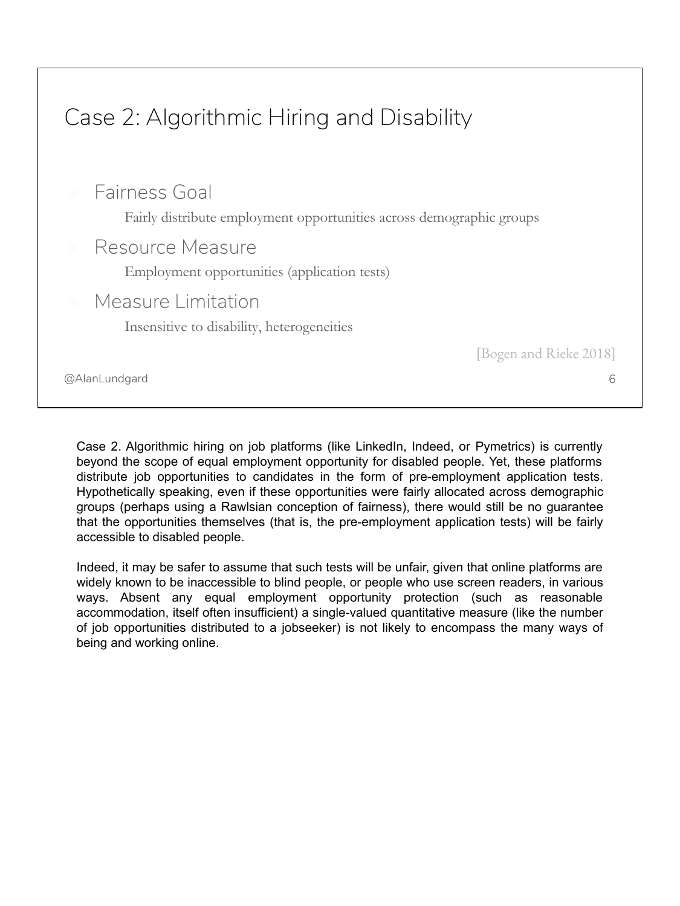

Case 2. Algorithmic hiring on job platforms (like LinkedIn, Indeed, or Pymetrics) is currently beyond the scope of equal employment opportunity for disabled people. Yet, these platforms distribute job opportunities to candidates in the form of pre-employment application tests. Hypothetically speaking, even if these opportunities were fairly allocated across demographic groups (perhaps using a Rawlsian conception of fairness), there would still be no guarantee that the opportunities themselves (that is, the pre-employment application tests) will be fairly accessible to disabled people.

Indeed, it may be safer to assume that such tests will be unfair, given that online platforms are widely known to be inaccessible to blind people, or people who use screen readers, in various ways. Absent any equal employment opportunity protection (such as reasonable accommodation, itself often insufficient) a single-valued quantitative measure (like the number of job opportunities distributed to a jobseeker) is not likely to encompass the many ways of being and working online.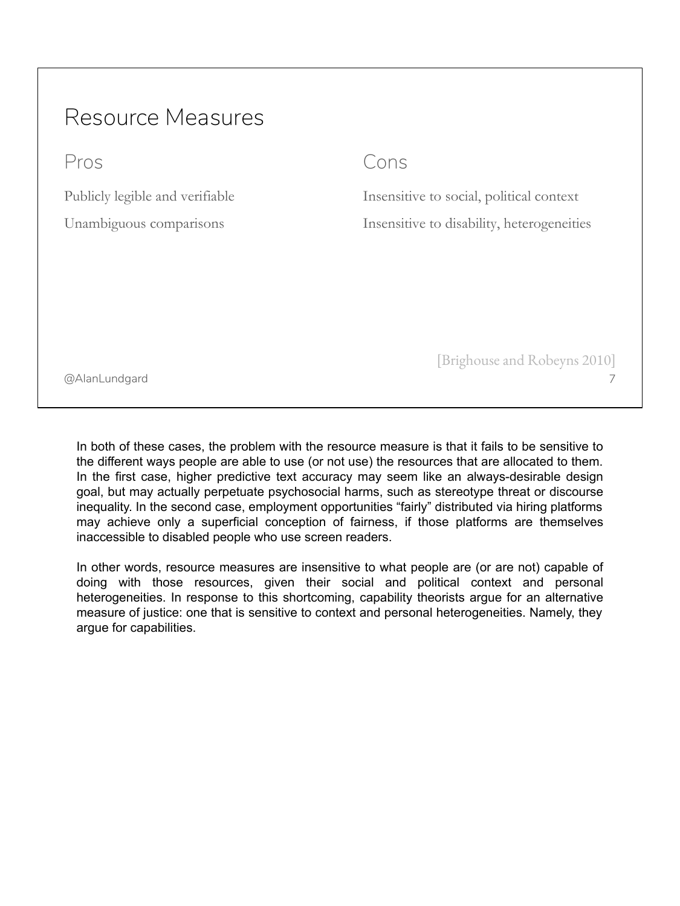## Resource Measures

Pros

Publicly legible and verifiable

Unambiguous comparisons

#### Cons

Insensitive to social, political context Insensitive to disability, heterogeneities

@AlanLundgard

[Brighouse and Robeyns 2010]

7

In both of these cases, the problem with the resource measure is that it fails to be sensitive to the different ways people are able to use (or not use) the resources that are allocated to them. In the first case, higher predictive text accuracy may seem like an always-desirable design goal, but may actually perpetuate psychosocial harms, such as stereotype threat or discourse inequality. In the second case, employment opportunities "fairly" distributed via hiring platforms may achieve only a superficial conception of fairness, if those platforms are themselves inaccessible to disabled people who use screen readers.

In other words, resource measures are insensitive to what people are (or are not) capable of doing with those resources, given their social and political context and personal heterogeneities. In response to this shortcoming, capability theorists argue for an alternative measure of justice: one that is sensitive to context and personal heterogeneities. Namely, they argue for capabilities.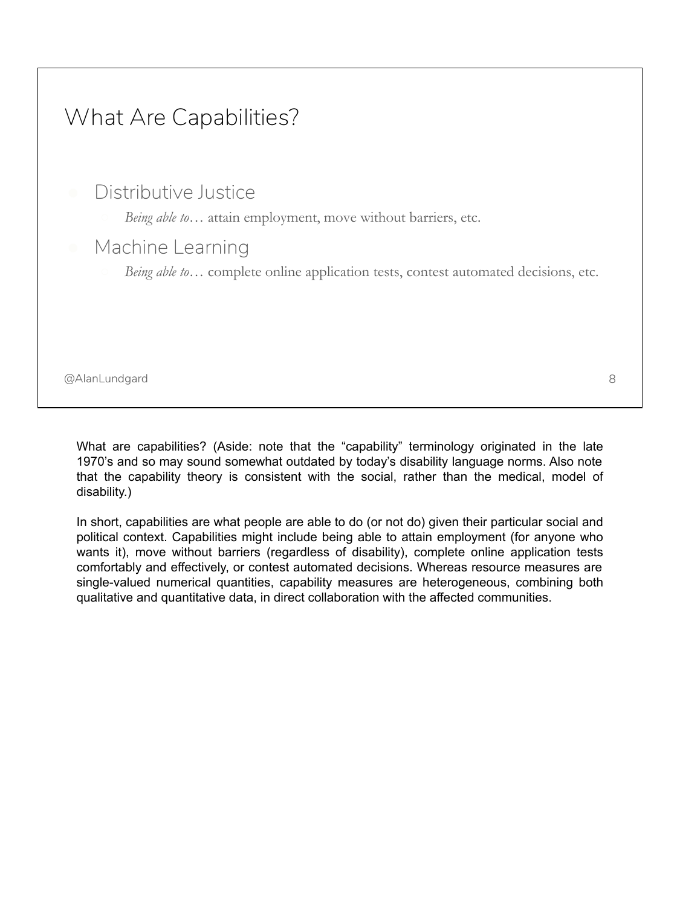

What are capabilities? (Aside: note that the "capability" terminology originated in the late 1970's and so may sound somewhat outdated by today's disability language norms. Also note that the capability theory is consistent with the social, rather than the medical, model of disability.)

In short, capabilities are what people are able to do (or not do) given their particular social and political context. Capabilities might include being able to attain employment (for anyone who wants it), move without barriers (regardless of disability), complete online application tests comfortably and effectively, or contest automated decisions. Whereas resource measures are single-valued numerical quantities, capability measures are heterogeneous, combining both qualitative and quantitative data, in direct collaboration with the affected communities.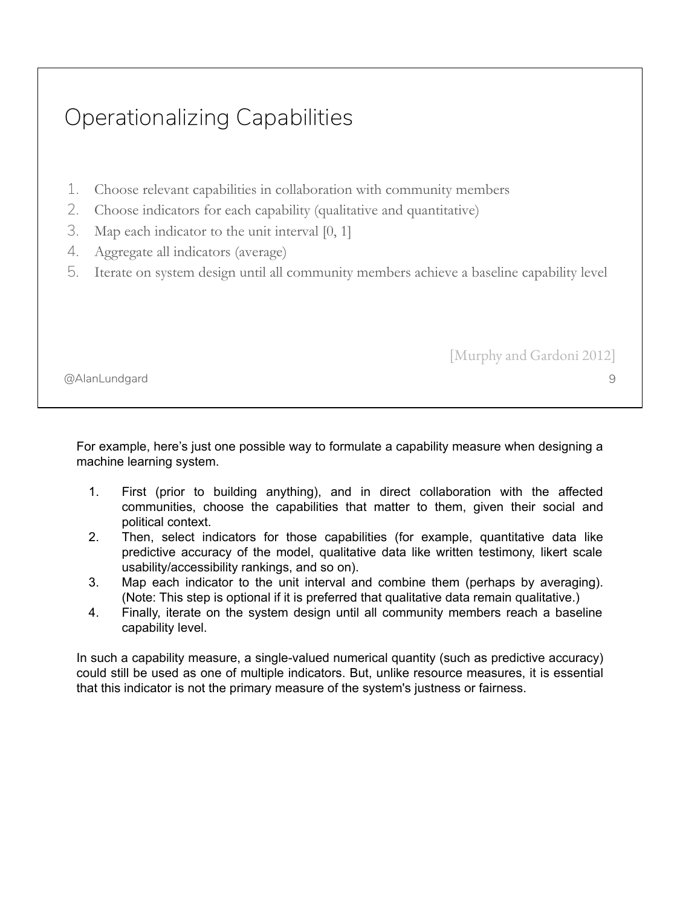# Operationalizing Capabilities

- 1. Choose relevant capabilities in collaboration with community members
- 2. Choose indicators for each capability (qualitative and quantitative)
- 3. Map each indicator to the unit interval [0, 1]
- 4. Aggregate all indicators (average)
- 5. Iterate on system design until all community members achieve a baseline capability level

[Murphy and Gardoni 2012]

9

@AlanLundgard

For example, here's just one possible way to formulate a capability measure when designing a machine learning system.

- 1. First (prior to building anything), and in direct collaboration with the affected communities, choose the capabilities that matter to them, given their social and political context.
- 2. Then, select indicators for those capabilities (for example, quantitative data like predictive accuracy of the model, qualitative data like written testimony, likert scale usability/accessibility rankings, and so on).
- 3. Map each indicator to the unit interval and combine them (perhaps by averaging). (Note: This step is optional if it is preferred that qualitative data remain qualitative.)
- 4. Finally, iterate on the system design until all community members reach a baseline capability level.

In such a capability measure, a single-valued numerical quantity (such as predictive accuracy) could still be used as one of multiple indicators. But, unlike resource measures, it is essential that this indicator is not the primary measure of the system's justness or fairness.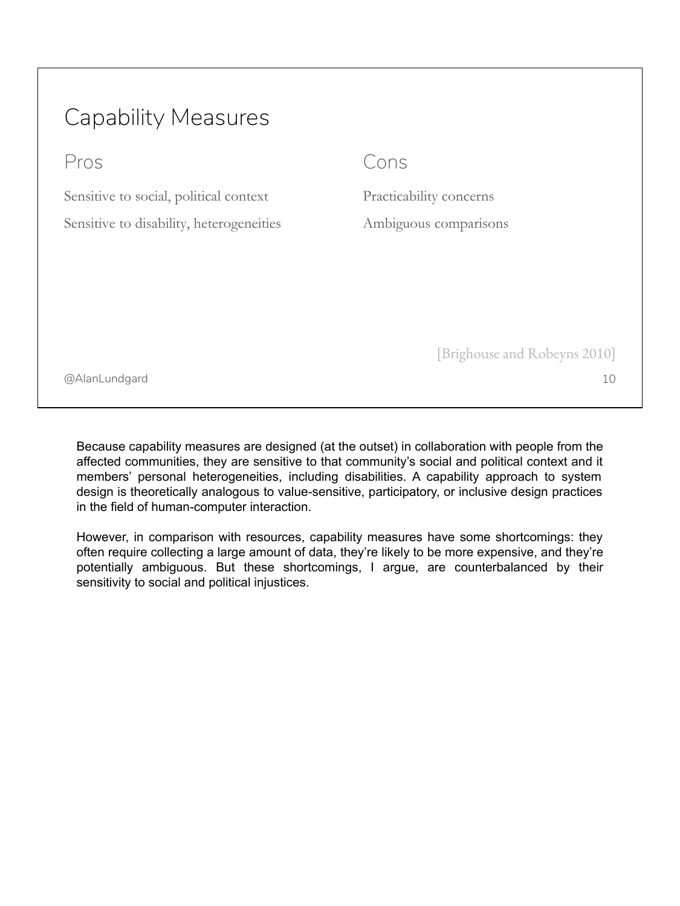# Capability Measures

Pros

Sensitive to social, political context Sensitive to disability, heterogeneities

#### Cons

Practicability concerns Ambiguous comparisons

10

[Brighouse and Robeyns 2010]

@AlanLundgard

Because capability measures are designed (at the outset) in collaboration with people from the affected communities, they are sensitive to that community's social and political context and it members' personal heterogeneities, including disabilities. A capability approach to system design is theoretically analogous to value-sensitive, participatory, or inclusive design practices in the field of human-computer interaction.

However, in comparison with resources, capability measures have some shortcomings: they often require collecting a large amount of data, they're likely to be more expensive, and they're potentially ambiguous. But these shortcomings, I argue, are counterbalanced by their sensitivity to social and political injustices.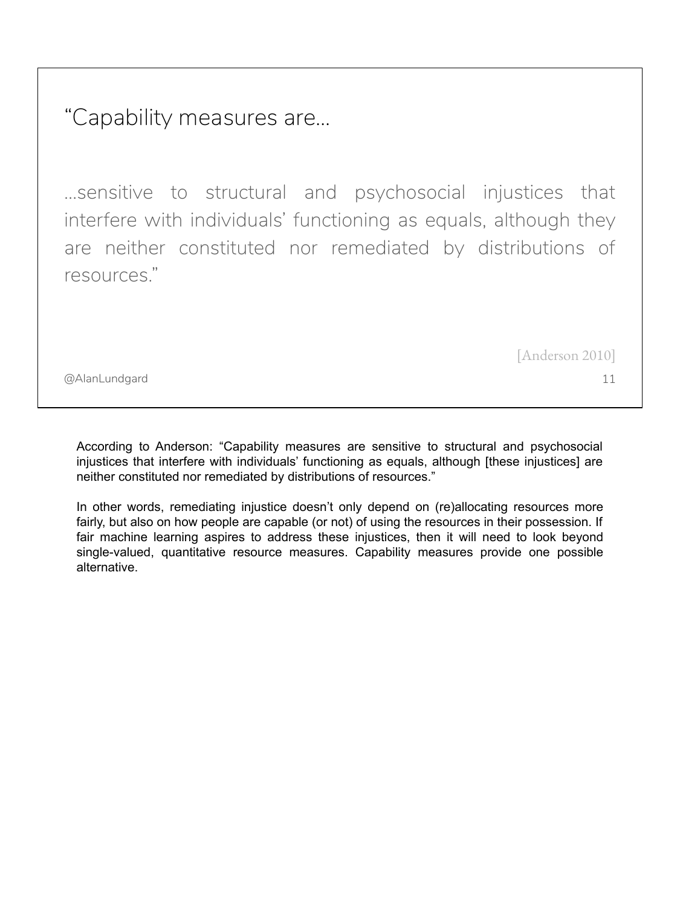"Capability measures are...

…sensitive to structural and psychosocial injustices that interfere with individuals' functioning as equals, although they are neither constituted nor remediated by distributions of resources."

[Anderson 2010]

11

@AlanLundgard

According to Anderson: "Capability measures are sensitive to structural and psychosocial injustices that interfere with individuals' functioning as equals, although [these injustices] are neither constituted nor remediated by distributions of resources."

In other words, remediating injustice doesn't only depend on (re)allocating resources more fairly, but also on how people are capable (or not) of using the resources in their possession. If fair machine learning aspires to address these injustices, then it will need to look beyond single-valued, quantitative resource measures. Capability measures provide one possible alternative.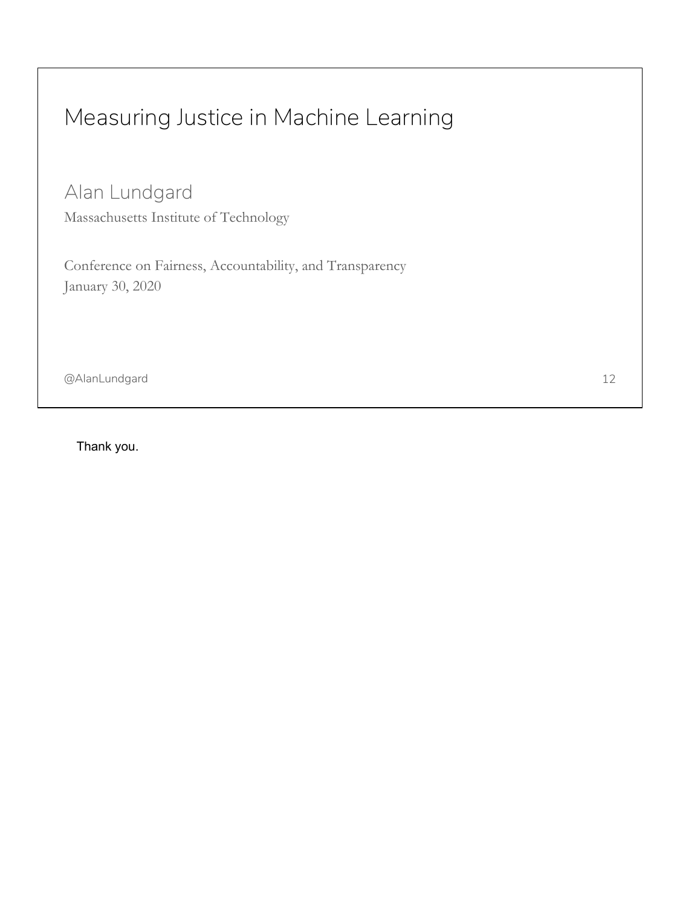# Measuring Justice in Machine Learning

Alan Lundgard

Massachusetts Institute of Technology

Conference on Fairness, Accountability, and Transparency January 30, 2020

@AlanLundgard

Thank you.